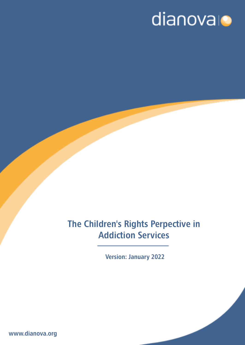# dianovalo

# The Children's Rights Perpective in Addiction Services

Version: January 2022

www.dianova.org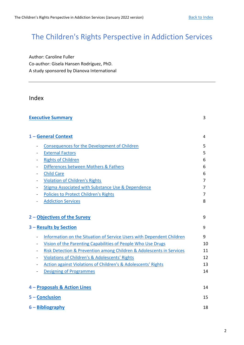## The Children's Rights Perspective in Addiction Services

Author: Caroline Fuller Co-author: Gisela Hansen Rodríguez, PhD. A study sponsored by Dianova International

## <span id="page-1-0"></span>Index

| <b>Executive Summary</b><br>3                                            |                |
|--------------------------------------------------------------------------|----------------|
|                                                                          |                |
| 1 - General Context                                                      | 4              |
| <b>Consequences for the Development of Children</b>                      | 5              |
| <b>External Factors</b>                                                  | 5              |
| <b>Rights of Children</b>                                                | 6              |
| Differences between Mothers & Fathers                                    | 6              |
| <b>Child Care</b>                                                        | 6              |
| <b>Violation of Children's Rights</b>                                    | $\overline{7}$ |
| Stigma Associated with Substance Use & Dependence                        | 7              |
| <b>Policies to Protect Children's Rights</b><br>$\blacksquare$           | 7              |
| <b>Addiction Services</b>                                                | 8              |
|                                                                          |                |
| 2 - Objectives of the Survey                                             | 9              |
| 3 - Results by Section                                                   | 9              |
| Information on the Situation of Service Users with Dependent Children    | 9              |
| Vision of the Parenting Capabilities of People Who Use Drugs             | 10             |
| Risk Detection & Prevention among Children & Adolescents in Services     | 11             |
| Violations of Children's & Adolescents' Rights<br>$\blacksquare$         | 12             |
| <b>Action against Violations of Children's &amp; Adolescents' Rights</b> | 13             |
| <b>Designing of Programmes</b>                                           | 14             |
|                                                                          |                |
| 4 - Proposals & Action Lines                                             | 14             |
| 5 - Conclusion                                                           | 15             |
| $6$ – Bibliography                                                       | 18             |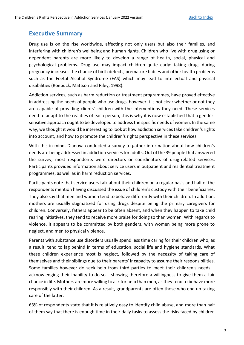## <span id="page-2-0"></span>**Executive Summary**

Drug use is on the rise worldwide, affecting not only users but also their families, and interfering with children's wellbeing and human rights. Children who live with drug using or dependent parents are more likely to develop a range of health, social, physical and psychological problems. Drug use may impact children quite early: taking drugs during pregnancy increases the chance of birth defects, premature babies and other health problems such as the Foetal Alcohol Syndrome (FAS) which may lead to intellectual and physical disabilities (Roebuck, Mattson and Riley, 1998).

Addiction services, such as harm reduction or treatment programmes, have proved effective in addressing the needs of people who use drugs, however it is not clear whether or not they are capable of providing clients' children with the interventions they need. These services need to adapt to the realities of each person, this is why it is now established that a gendersensitive approach ought to be developed to address the specific needs of women. In the same way, we thought it would be interesting to look at how addiction services take children's rights into account, and how to promote the children's rights perspective in these services.

With this in mind, Dianova conducted a survey to gather information about how children's needs are being addressed in addiction services for adults. Out of the 39 people that answered the survey, most respondents were directors or coordinators of drug-related services. Participants provided information about service users in outpatient and residential treatment programmes, as well as in harm reduction services.

Participants note that service users talk about their children on a regular basis and half of the respondents mention having discussed the issue of children's custody with their beneficiaries. They also say that men and women tend to behave differently with their children. In addition, mothers are usually stigmatized for using drugs despite being the primary caregivers for children. Conversely, fathers appear to be often absent, and when they happen to take child rearing initiatives, they tend to receive more praise for doing so than women. With regards to violence, it appears to be committed by both genders, with women being more prone to neglect, and men to physical violence.

Parents with substance use disorders usually spend less time caring for their children who, as a result, tend to lag behind in terms of education, social life and hygiene standards. What these children experience most is neglect, followed by the necessity of taking care of themselves and their siblings due to their parents' incapacity to assume their responsibilities. Some families however do seek help from third parties to meet their children's needs – acknowledging their inability to do so – showing therefore a willingness to give them a fair chance in life. Mothers are more willing to ask for help than men, as they tend to behave more responsibly with their children. As a result, grandparents are often those who end up taking care of the latter.

63% of respondents state that it is relatively easy to identify child abuse, and more than half of them say that there is enough time in their daily tasks to assess the risks faced by children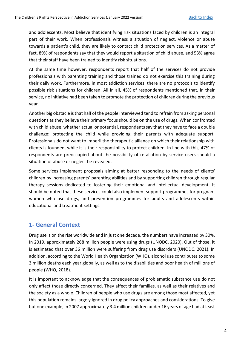and adolescents. Most believe that identifying risk situations faced by children is an integral part of their work. When professionals witness a situation of neglect, violence or abuse towards a patient's child, they are likely to contact child protection services. As a matter of fact, 89% of respondents say that they would report a situation of child abuse, and 53% agree that their staff have been trained to identify risk situations.

At the same time however, respondents report that half of the services do not provide professionals with parenting training and those trained do not exercise this training during their daily work. Furthermore, in most addiction services, there are no protocols to identify possible risk situations for children. All in all, 45% of respondents mentioned that, in their service, no initiative had been taken to promote the protection of children during the previous year.

Another big obstacle is that half of the people interviewed tend to refrain from asking personal questions as they believe their primary focus should be on the use of drugs. When confronted with child abuse, whether actual or potential, respondents say that they have to face a double challenge: protecting the child while providing their parents with adequate support. Professionals do not want to imperil the therapeutic alliance on which their relationship with clients is founded, while it is their responsibility to protect children. In line with this, 47% of respondents are preoccupied about the possibility of retaliation by service users should a situation of abuse or neglect be revealed.

Some services implement proposals aiming at better responding to the needs of clients' children by increasing parents' parenting abilities and by supporting children through regular therapy sessions dedicated to fostering their emotional and intellectual development. It should be noted that these services could also implement support programmes for pregnant women who use drugs, and prevention programmes for adults and adolescents within educational and treatment settings.

## <span id="page-3-0"></span>**1- General Context**

Drug use is on the rise worldwide and in just one decade, the numbers have increased by 30%. In 2019, approximately 268 million people were using drugs (UNODC, 2020). Out of those, it is estimated that over 36 million were suffering from drug use disorders (UNODC, 2021). In addition, according to the World Health Organization (WHO), alcohol use contributes to some 3 million deaths each year globally, as well as to the disabilities and poor health of millions of people (WHO, 2018).

It is important to acknowledge that the consequences of problematic substance use do not only affect those directly concerned. They affect their families, as well as their relatives and the society as a whole. Children of people who use drugs are among those most affected, yet this population remains largely ignored in drug policy approaches and considerations. To give but one example, in 2007 approximately 3.4 million children under 16 years of age had at least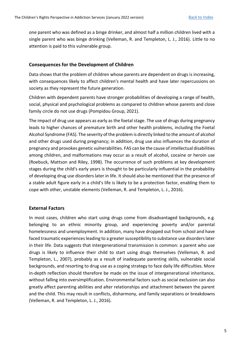one parent who was defined as a binge drinker, and almost half a million children lived with a single parent who was binge drinking (Velleman, R. and Templeton, L. J., 2016). Little to no attention is paid to this vulnerable group.

## <span id="page-4-0"></span>**Consequences for the Development of Children**

Data shows that the problem of children whose parents are dependent on drugs is increasing, with consequences likely to affect children's mental health and have later repercussions on society as they represent the future generation.

Children with dependent parents have stronger probabilities of developing a range of health, social, physical and psychological problems as compared to children whose parents and close family circle do not use drugs (Pompidou Group, 2021).

The impact of drug use appears as early as the foetal stage. The use of drugs during pregnancy leads to higher chances of premature birth and other health problems, including the Foetal Alcohol Syndrome (FAS). The severity of the problem is directly linked to the amount of alcohol and other drugs used during pregnancy; in addition, drug use also influences the duration of pregnancy and provokes genetic vulnerabilities. FAS can be the cause of intellectual disabilities among children, and malformations may occur as a result of alcohol, cocaine or heroin use (Roebuck, Mattson and Riley, 1998). The occurrence of such problems at key development stages during the child's early years is thought to be particularly influential in the probability of developing drug use disorders later in life. It should also be mentioned that the presence of a stable adult figure early in a child's life is likely to be a protection factor, enabling them to cope with other, unstable elements (Velleman, R. and Templeton, L. J., 2016).

## <span id="page-4-1"></span>**External Factors**

In most cases, children who start using drugs come from disadvantaged backgrounds, e.g. belonging to an ethnic minority group, and experiencing poverty and/or parental homelessness and unemployment. In addition, many have dropped out from school and have faced traumatic experiences leading to a greater susceptibility to substance use disorders later in their life. Data suggests that intergenerational transmission is common: a parent who use drugs is likely to influence their child to start using drugs themselves (Velleman, R. and Templeton, L., 2007), probably as a result of inadequate parenting skills, vulnerable social backgrounds, and resorting to drug use as a coping strategy to face daily life difficulties. More in-depth reflection should therefore be made on the issue of intergenerational inheritance, without falling into oversimplification. Environmental factors such as social exclusion can also greatly affect parenting abilities and alter relationships and attachment between the parent and the child. This may result in conflicts, disharmony, and family separations or breakdowns (Velleman, R. and Templeton, L. J., 2016).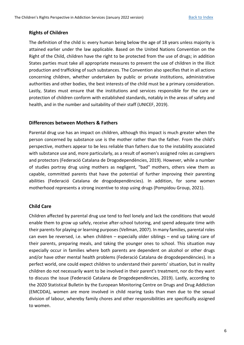## <span id="page-5-0"></span>**Rights of Children**

The definition of the child is: every human being below the age of 18 years unless majority is attained earlier under the law applicable. Based on the United Nations Convention on the Right of the Child, children have the right to be protected from the use of drugs; in addition States parties must take all appropriate measures to prevent the use of children in the illicit production and trafficking of such substances. The Convention also specifies that in all actions concerning children, whether undertaken by public or private institutions, administrative authorities and other bodies, the best interests of the child must be a primary consideration. Lastly, States must ensure that the institutions and services responsible for the care or protection of children conform with established standards, notably in the areas of safety and health, and in the number and suitability of their staff (UNICEF, 2019).

### <span id="page-5-1"></span>**Differences between Mothers & Fathers**

Parental drug use has an impact on children, although this impact is much greater when the person concerned by substance use is the mother rather than the father. From the child's perspective, mothers appear to be less reliable than fathers due to the instability associated with substance use and, more particularly, as a result of women's assigned roles as caregivers and protectors (Federació Catalana de Drogodependències, 2019). However, while a number of studies portray drug using mothers as negligent, "bad" mothers, others view them as capable, committed parents that have the potential of further improving their parenting abilities (Federació Catalana de drogodependències). In addition, for some women motherhood represents a strong incentive to stop using drugs (Pompidou Group, 2021).

## <span id="page-5-2"></span>**Child Care**

Children affected by parental drug use tend to feel lonely and lack the conditions that would enable them to grow up safely, receive after-school tutoring, and spend adequate time with their parents for playing or learning purposes (Vellman, 2007). In many families, parental roles can even be reversed, i.e. when children – especially older siblings – end up taking care of their parents, preparing meals, and taking the younger ones to school. This situation may especially occur in families where both parents are dependent on alcohol or other drugs and/or have other mental health problems (Federació Catalana de drogodependències). In a perfect world, one could expect children to understand their parents' situation, but in reality children do not necessarily want to be involved in their parent's treatment, nor do they want to discuss the issue (Federació Catalana de Drogodependències, 2019). Lastly, according to the 2020 Statistical Bulletin by the European Monitoring Centre on Drugs and Drug Addiction (EMCDDA), women are more involved in child rearing tasks than men due to the sexual division of labour, whereby family chores and other responsibilities are specifically assigned to women.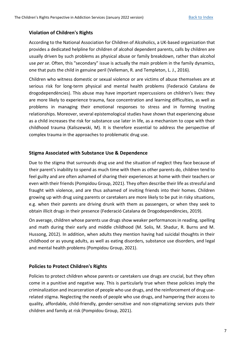## <span id="page-6-0"></span>**Violation of Children's Rights**

According to the National Association for Children of Alcoholics, a UK-based organization that provides a dedicated helpline for children of alcohol dependent parents, calls by children are usually driven by such problems as physical abuse or family breakdown, rather than alcohol use *per se*. Often, this "secondary" issue is actually the main problem in the family dynamics, one that puts the child in genuine peril (Velleman, R. and Templeton, L. J., 2016).

Children who witness domestic or sexual violence or are victims of abuse themselves are at serious risk for long-term physical and mental health problems (Federació Catalana de drogodependències). This abuse may have important repercussions on children's lives: they are more likely to experience trauma, face concentration and learning difficulties, as well as problems in managing their emotional responses to stress and in forming trusting relationships. Moreover, several epistemological studies have shown that experiencing abuse as a child increases the risk for substance use later in life, as a mechanism to cope with their childhood trauma (Kaliszewski, M). It is therefore essential to address the perspective of complex trauma in the approaches to problematic drug use.

## <span id="page-6-1"></span>**Stigma Associated with Substance Use & Dependence**

Due to the stigma that surrounds drug use and the situation of neglect they face because of their parent's inability to spend as much time with them as other parents do, children tend to feel guilty and are often ashamed of sharing their experiences at home with their teachers or even with their friends (Pompidou Group, 2021). They often describe their life as stressful and fraught with violence, and are thus ashamed of inviting friends into their homes. Children growing up with drug using parents or caretakers are more likely to be put in risky situations, e.g. when their parents are driving drunk with them as passengers, or when they seek to obtain illicit drugs in their presence (Federació Catalana de Drogodependències, 2019).

On average, children whose parents use drugs show weaker performances in reading, spelling and math during their early and middle childhood (M. Solis, M. Shadur, R. Burns and M. Hussong, 2012). In addition, when adults they mention having had suicidal thoughts in their childhood or as young adults, as well as eating disorders, substance use disorders, and legal and mental health problems (Pompidou Group, 2021).

## <span id="page-6-2"></span>**Policies to Protect Children's Rights**

Policies to protect children whose parents or caretakers use drugs are crucial, but they often come in a punitive and negative way. This is particularly true when these policies imply the criminalization and incarceration of people who use drugs, and the reinforcement of drug userelated stigma. Neglecting the needs of people who use drugs, and hampering their access to quality, affordable, child-friendly, gender-sensitive and non-stigmatizing services puts their children and family at risk (Pompidou Group, 2021).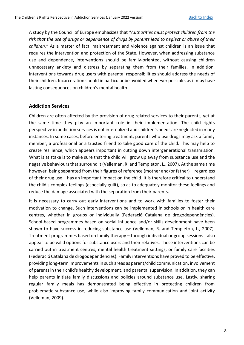A study by the Council of Europe emphasizes that *"Authorities must protect children from the risk that the use of drugs or dependence of drugs by parents lead to neglect or abuse of their children."* As a matter of fact, maltreatment and violence against children is an issue that requires the intervention and protection of the State. However, when addressing substance use and dependence, interventions should be family-oriented, without causing children unnecessary anxiety and distress by separating them from their families. In addition, interventions towards drug users with parental responsibilities should address the needs of their children. Incarceration should in particular be avoided whenever possible, as it may have lasting consequences on children's mental health.

#### <span id="page-7-0"></span>**Addiction Services**

Children are often affected by the provision of drug related services to their parents, yet at the same time they play an important role in their implementation. The child rights perspective in addiction services is not internalized and children's needs are neglected in many instances. In some cases, before entering treatment, parents who use drugs may ask a family member, a professional or a trusted friend to take good care of the child. This may help to create resilience, which appears important in cutting down intergenerational transmission. What is at stake is to make sure that the child will grow up away from substance use and the negative behaviours that surround it (Velleman, R. and Templeton, L., 2007). At the same time however, being separated from their figures of reference (mother and/or father) – regardless of their drug use – has an important impact on the child. It is therefore critical to understand the child's complex feelings (especially guilt), so as to adequately monitor these feelings and reduce the damage associated with the separation from their parents.

It is necessary to carry out early interventions and to work with families to foster their motivation to change. Such interventions can be implemented in schools or in health care centres, whether in groups or individually (Federació Catalana de drogodependències). School-based programmes based on social influence and/or skills development have been shown to have success in reducing substance use (Velleman, R. and Templeton, L., 2007). Treatment programmes based on family therapy – through individual or group sessions - also appear to be valid options for substance users and their relatives. These interventions can be carried out in treatment centres, mental health treatment settings, or family care facilities (Federació Catalana de drogodependències). Family interventions have proved to be effective, providing long-term improvements in such areas as parent/child communication, involvement of parents in their child's healthy development, and parental supervision. In addition, they can help parents initiate family discussions and policies around substance use. Lastly, sharing regular family meals has demonstrated being effective in protecting children from problematic substance use, while also improving family communication and joint activity (Velleman, 2009).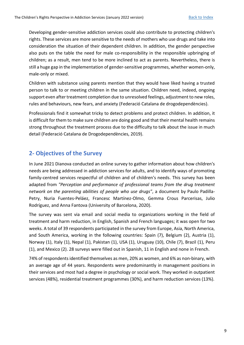Developing gender-sensitive addiction services could also contribute to protecting children's rights. These services are more sensitive to the needs of mothers who use drugs and take into consideration the situation of their dependent children. In addition, the gender perspective also puts on the table the need for male co-responsibility in the responsible upbringing of children; as a result, men tend to be more inclined to act as parents. Nevertheless, there is still a huge gap in the implementation of gender-sensitive programmes, whether women-only, male-only or mixed.

Children with substance using parents mention that they would have liked having a trusted person to talk to or meeting children in the same situation. Children need, indeed, ongoing support even after treatment completion due to unresolved feelings, adjustment to new roles, rules and behaviours, new fears, and anxiety (Federació Catalana de drogodependències).

Professionals find it somewhat tricky to detect problems and protect children. In addition, it is difficult for them to make sure children are doing good and that their mental health remains strong throughout the treatment process due to the difficulty to talk about the issue in much detail (Federació Catalana de Drogodependències, 2019).

## <span id="page-8-0"></span>**2- Objectives of the Survey**

In June 2021 Dianova conducted an online survey to gather information about how children's needs are being addressed in addiction services for adults, and to identify ways of promoting family-centred services respectful of children and of children's needs. This survey has been adapted from *"Perception and performance of professional teams from the drug treatment network on the parenting abilities of people who use drugs"*, a document by Paulo Padilla-Petry, Nuria Fuentes-Peláez, Francesc Martínez-Olmo, Gemma Crous Parcerisas, Julio Rodríguez, and Anna Fantova (University of Barcelona, 2020).

The survey was sent via email and social media to organizations working in the field of treatment and harm reduction, in English, Spanish and French languages; it was open for two weeks. A total of 39 respondents participated in the survey from Europe, Asia, North America, and South America, working in the following countries: Spain (7), Belgium (2), Austria (1), Norway (1), Italy (1), Nepal (1), Pakistan (1), USA (1), Uruguay (10), Chile (7), Brazil (1), Peru (1), and Mexico (2). 28 surveys were filled out in Spanish, 11 in English and none in French.

74% of respondents identified themselves as men, 20% as women, and 6% as non-binary, with an average age of 44 years. Respondents were predominantly in management positions in their services and most had a degree in psychology or social work. They worked in outpatient services (48%), residential treatment programmes (30%), and harm reduction services (13%).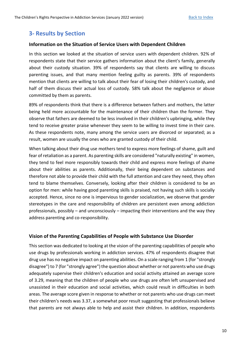## <span id="page-9-0"></span>**3- Results by Section**

### <span id="page-9-1"></span>**Information on the Situation of Service Users with Dependent Children**

In this section we looked at the situation of service users with dependent children. 92% of respondents state that their service gathers information about the client's family, generally about their custody situation. 39% of respondents say that clients are willing to discuss parenting issues, and that many mention feeling guilty as parents. 39% of respondents mention that clients are willing to talk about their fear of losing their children's custody, and half of them discuss their actual loss of custody. 58% talk about the negligence or abuse committed by them as parents.

89% of respondents think that there is a difference between fathers and mothers, the latter being held more accountable for the maintenance of their children than the former. They observe that fathers are deemed to be less involved in their children's upbringing, while they tend to receive greater praise whenever they seem to be willing to invest time in their care. As these respondents note, many among the service users are divorced or separated; as a result, women are usually the ones who are granted custody of their child.

When talking about their drug use mothers tend to express more feelings of shame, guilt and fear of retaliation as a parent. As parenting skills are considered "naturally existing" in women, they tend to feel more responsibly towards their child and express more feelings of shame about their abilities as parents. Additionally, their being dependent on substances and therefore not able to provide their child with the full attention and care they need, they often tend to blame themselves. Conversely, looking after their children is considered to be an option for men: while having good parenting skills is praised, not having such skills is socially accepted. Hence, since no one is impervious to gender socialization, we observe that gender stereotypes in the care and responsibility of children are persistent even among addiction professionals, possibly – and unconsciously – impacting their interventions and the way they address parenting and co-responsibility.

#### <span id="page-9-2"></span>**Vision of the Parenting Capabilities of People with Substance Use Disorder**

This section was dedicated to looking at the vision of the parenting capabilities of people who use drugs by professionals working in addiction services. 47% of respondents disagree that drug use has no negative impact on parenting abilities. On a scale ranging from 1 (for "strongly disagree") to 7 (for "strongly agree") the question about whether or not parents who use drugs adequately supervise their children's education and social activity attained an average score of 3.29, meaning that the children of people who use drugs are often left unsupervised and unassisted in their education and social activities, which could result in difficulties in both areas. The average score given in response to whether or not parents who use drugs can meet their children's needs was 3.37, a somewhat poor result suggesting that professionals believe that parents are not always able to help and assist their children. In addition, respondents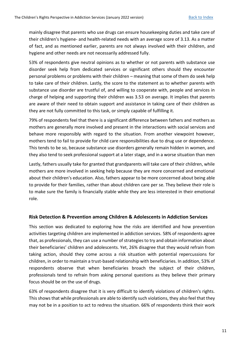mainly disagree that parents who use drugs can ensure housekeeping duties and take care of their children's hygiene- and health-related needs with an average score of 3.13. As a matter of fact, and as mentioned earlier, parents are not always involved with their children, and hygiene and other needs are not necessarily addressed fully.

53% of respondents give neutral opinions as to whether or not parents with substance use disorder seek help from dedicated services or significant others should they encounter personal problems or problems with their children – meaning that some of them do seek help to take care of their children. Lastly, the score to the statement as to whether parents with substance use disorder are trustful of, and willing to cooperate with, people and services in charge of helping and supporting their children was 3.53 on average. It implies that parents are aware of their need to obtain support and assistance in taking care of their children as they are not fully committed to this task, or simply capable of fulfilling it.

79% of respondents feel that there is a significant difference between fathers and mothers as mothers are generally more involved and present in the interactions with social services and behave more responsibly with regard to the situation. From another viewpoint however, mothers tend to fail to provide for child care responsibilities due to drug use or dependence. This tends to be so, because substance use disorders generally remain hidden in women, and they also tend to seek professional support at a later stage, and in a worse situation than men

Lastly, fathers usually take for granted that grandparents will take care of their children, while mothers are more involved in seeking help because they are more concerned and emotional about their children's education. Also, fathers appear to be more concerned about being able to provide for their families, rather than about children care per se. They believe their role is to make sure the family is financially stable while they are less interested in their emotional role.

#### <span id="page-10-0"></span>**Risk Detection & Prevention among Children & Adolescents in Addiction Services**

This section was dedicated to exploring how the risks are identified and how prevention activities targeting children are implemented in addiction services. 58% of respondents agree that, as professionals, they can use a number of strategies to try and obtain information about their beneficiaries' children and adolescents. Yet, 26% disagree that they would refrain from taking action, should they come across a risk situation with potential repercussions for children, in order to maintain a trust-based relationship with beneficiaries. In addition, 53% of respondents observe that when beneficiaries broach the subject of their children, professionals tend to refrain from asking personal questions as they believe their primary focus should be on the use of drugs.

63% of respondents disagree that it is very difficult to identify violations of children's rights. This shows that while professionals are able to identify such violations, they also feel that they may not be in a position to act to redress the situation. 66% of respondents think their work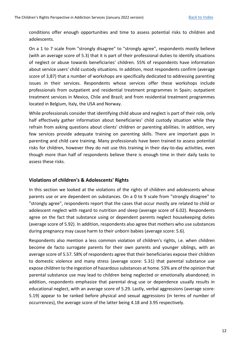conditions offer enough opportunities and time to assess potential risks to children and adolescents.

On a 1 to 7 scale from "strongly disagree" to "strongly agree", respondents mostly believe (with an average score of 5.3) that it is part of their professional duties to identify situations of neglect or abuse towards beneficiaries' children. 55% of respondents have information about service users' child custody situations. In addition, most respondents confirm (average score of 3,87) that a number of workshops are specifically dedicated to addressing parenting issues in their services. Respondents whose services offer these workshops include professionals from outpatient and residential treatment programmes in Spain; outpatient treatment services in Mexico, Chile and Brazil; and from residential treatment programmes located in Belgium, Italy, the USA and Norway.

While professionals consider that identifying child abuse and neglect is part of their role, only half effectively gather information about beneficiaries' child custody situation while they refrain from asking questions about clients' children or parenting abilities. In addition, very few services provide adequate training on parenting skills. There are important gaps in parenting and child care training. Many professionals have been trained to assess potential risks for children, however they do not use this training in their day-to-day activities, even though more than half of respondents believe there is enough time in their daily tasks to assess these risks.

#### <span id="page-11-0"></span>**Violations of children's & Adolescents' Rights**

In this section we looked at the violations of the rights of children and adolescents whose parents use or are dependent on substances. On a 0 to 9 scale from "strongly disagree" to "strongly agree", respondents report that the cases that occur mostly are related to child or adolescent neglect with regard to nutrition and sleep (average score of 6.02). Respondents agree on the fact that substance using or dependent parents neglect housekeeping duties (average score of 5.92). In addition, respondents also agree that mothers who use substances during pregnancy may cause harm to their unborn babies (average score: 5.6).

Respondents also mention a less common violation of children's rights, i.e. when children become de facto surrogate parents for their own parents and younger siblings, with an average score of 5.57. 58% of respondents agree that their beneficiaries expose their children to domestic violence and many stress (average score: 5.31) that parental substance use expose children to the ingestion of hazardous substances at home. 53% are of the opinion that parental substance use may lead to children being neglected or emotionally abandoned; in addition, respondents emphasize that parental drug use or dependence usually results in educational neglect, with an average score of 5.29. Lastly, verbal aggressions (average score: 5.19) appear to be ranked before physical and sexual aggressions (in terms of number of occurrences), the average score of the latter being 4.18 and 3.95 respectively.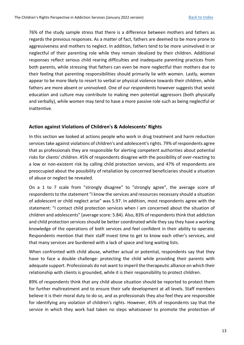76% of the study sample stress that there is a difference between mothers and fathers as regards the previous responses. As a matter of fact, fathers are deemed to be more prone to aggressiveness and mothers to neglect. In addition, fathers tend to be more uninvolved in or neglectful of their parenting role while they remain idealized by their children. Additional responses reflect serious child rearing difficulties and inadequate parenting practices from both parents, while stressing that fathers can even be more neglectful than mothers due to their feeling that parenting responsibilities should primarily lie with women. Lastly, women appear to be more likely to resort to verbal or physical violence towards their children, while fathers are more absent or uninvolved. One of our respondents however suggests that sexist education and culture may contribute to making men potential aggressors (both physically and verbally), while women may tend to have a more passive role such as being neglectful or inattentive.

### <span id="page-12-0"></span>**Action against Violations of Children's & Adolescents' Rights**

In this section we looked at actions people who work in drug treatment and harm reduction services take against violations of children's and adolescent's rights. 79% of respondents agree that as professionals they are responsible for alerting competent authorities about potential risks for clients' children. 45% of respondents disagree with the possibility of over-reacting to a low or non-existent risk by calling child protection services, and 47% of respondents are preoccupied about the possibility of retaliation by concerned beneficiaries should a situation of abuse or neglect be revealed.

On a 1 to 7 scale from "strongly disagree" to "strongly agree", the average score of respondents to the statement "I know the services and resources necessary should a situation of adolescent or child neglect arise" was 5.97. In addition, most respondents agree with the statement: "I contact child protection services when I am concerned about the situation of children and adolescents" (average score: 5.84). Also, 83% of respondents think that addiction and child protection services should be better coordinated while they say they have a working knowledge of the operations of both services and feel confident in their ability to operate. Respondents mention that their staff invest time to get to know each other's services, and that many services are burdened with a lack of space and long waiting lists.

When confronted with child abuse, whether actual or potential, respondents say that they have to face a double challenge: protecting the child while providing their parents with adequate support. Professionals do not want to imperil the therapeutic alliance on which their relationship with clients is grounded, while it is their responsibility to protect children.

89% of respondents think that any child abuse situation should be reported to protect them for further maltreatment and to ensure their safe development at all levels. Staff members believe it is their moral duty to do so, and as professionals they also feel they are responsible for identifying any violation of children's rights. However, 45% of respondents say that the service in which they work had taken no steps whatsoever to promote the protection of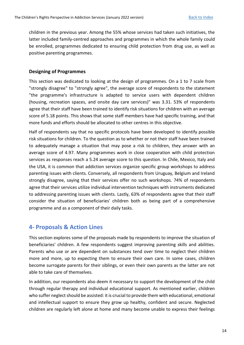children in the previous year. Among the 55% whose services had taken such initiatives, the latter included family-centred approaches and programmes in which the whole family could be enrolled, programmes dedicated to ensuring child protection from drug use, as well as positive parenting programmes.

#### <span id="page-13-0"></span>**Designing of Programmes**

This section was dedicated to looking at the design of programmes. On a 1 to 7 scale from "strongly disagree" to "strongly agree", the average score of respondents to the statement "the programme's infrastructure is adapted to service users with dependent children (housing, recreation spaces, and onsite day care services)" was 3.31. 53% of respondents agree that their staff have been trained to identify risk situations for children with an average score of 5.18 points. This shows that some staff members have had specific training, and that more funds and efforts should be allocated to other centres in this objective.

Half of respondents say that no specific protocols have been developed to identify possible risk situations for children. To the question as to whether or not their staff have been trained to adequately manage a situation that may pose a risk to children, they answer with an average score of 4.97. Many programmes work in close cooperation with child protection services as responses reach a 5.24 average score to this question. In Chile, Mexico, Italy and the USA, it is common that addiction services organize specific group workshops to address parenting issues with clients. Conversely, all respondents from Uruguay, Belgium and Ireland strongly disagree, saying that their services offer no such workshops. 74% of respondents agree that their services utilize individual intervention techniques with instruments dedicated to addressing parenting issues with clients. Lastly, 63% of respondents agree that their staff consider the situation of beneficiaries' children both as being part of a comprehensive programme and as a component of their daily tasks.

## <span id="page-13-1"></span>**4- Proposals & Action Lines**

This section explores some of the proposals made by respondents to improve the situation of beneficiaries' children. A few respondents suggest improving parenting skills and abilities. Parents who use or are dependent on substances tend over time to neglect their children more and more, up to expecting them to ensure their own care. In some cases, children become surrogate parents for their siblings, or even their own parents as the latter are not able to take care of themselves.

In addition, our respondents also deem it necessary to support the development of the child through regular therapy and individual educational support. As mentioned earlier, children who suffer neglect should be assisted: it is crucial to provide them with educational, emotional and intellectual support to ensure they grow up healthy, confident and secure. Neglected children are regularly left alone at home and many become unable to express their feelings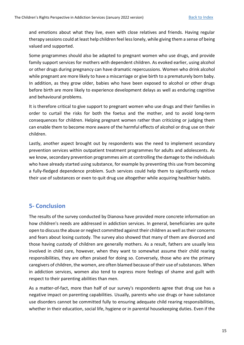and emotions about what they live, even with close relatives and friends. Having regular therapy sessions could at least help children feel less lonely, while giving them a sense of being valued and supported.

Some programmes should also be adapted to pregnant women who use drugs, and provide family support services for mothers with dependent children. As evoked earlier, using alcohol or other drugs during pregnancy can have dramatic repercussions. Women who drink alcohol while pregnant are more likely to have a miscarriage or give birth to a prematurely born baby. In addition, as they grow older, babies who have been exposed to alcohol or other drugs before birth are more likely to experience development delays as well as enduring cognitive and behavioural problems.

It is therefore critical to give support to pregnant women who use drugs and their families in order to curtail the risks for both the foetus and the mother, and to avoid long-term consequences for children. Helping pregnant women rather than criticizing or judging them can enable them to become more aware of the harmful effects of alcohol or drug use on their children.

Lastly, another aspect brought out by respondents was the need to implement secondary prevention services within outpatient treatment programmes for adults and adolescents. As we know, secondary prevention programmes aim at controlling the damage to the individuals who have already started using substance, for example by preventing this use from becoming a fully-fledged dependence problem. Such services could help them to significantly reduce their use of substances or even to quit drug use altogether while acquiring healthier habits.

## <span id="page-14-0"></span>**5- Conclusion**

The results of the survey conducted by Dianova have provided more concrete information on how children's needs are addressed in addiction services. In general, beneficiaries are quite open to discuss the abuse or neglect committed against their children as well as their concerns and fears about losing custody. The survey also showed that many of them are divorced and those having custody of children are generally mothers. As a result, fathers are usually less involved in child care, however, when they want to somewhat assume their child rearing responsibilities, they are often praised for doing so. Conversely, those who are the primary caregivers of children, the women, are often blamed because of their use of substances. When in addiction services, women also tend to express more feelings of shame and guilt with respect to their parenting abilities than men.

As a matter-of-fact, more than half of our survey's respondents agree that drug use has a negative impact on parenting capabilities. Usually, parents who use drugs or have substance use disorders cannot be committed fully to ensuring adequate child rearing responsibilities, whether in their education, social life, hygiene or in parental housekeeping duties. Even if the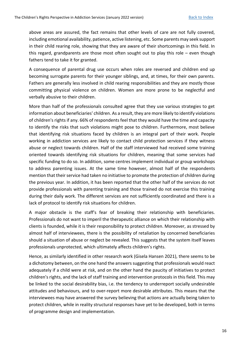above areas are assured, the fact remains that other levels of care are not fully covered, including emotional availability, patience, active listening, etc. Some parents may seek support in their child rearing role, showing that they are aware of their shortcomings in this field. In this regard, grandparents are those most often sought out to play this role – even though fathers tend to take it for granted.

A consequence of parental drug use occurs when roles are reversed and children end up becoming surrogate parents for their younger siblings, and, at times, for their own parents. Fathers are generally less involved in child rearing responsibilities and they are mostly those committing physical violence on children. Women are more prone to be neglectful and verbally abusive to their children.

More than half of the professionals consulted agree that they use various strategies to get information about beneficiaries' children. As a result, they are more likely to identify violations of children's rights if any. 66% of respondents feel that they would have the time and capacity to identify the risks that such violations might pose to children. Furthermore, most believe that identifying risk situations faced by children is an integral part of their work. People working in addiction services are likely to contact child protection services if they witness abuse or neglect towards children. Half of the staff interviewed had received some training oriented towards identifying risk situations for children, meaning that some services had specific funding to do so. In addition, some centres implement individual or group workshops to address parenting issues. At the same time however, almost half of the respondents mention that their service had taken no initiative to promote the protection of children during the previous year. In addition, it has been reported that the other half of the services do not provide professionals with parenting training and those trained do not exercise this training during their daily work. The different services are not sufficiently coordinated and there is a lack of protocol to identify risk situations for children.

A major obstacle is the staff's fear of breaking their relationship with beneficiaries. Professionals do not want to imperil the therapeutic alliance on which their relationship with clients is founded, while it is their responsibility to protect children. Moreover, as stressed by almost half of interviewees, there is the possibility of retaliation by concerned beneficiaries should a situation of abuse or neglect be revealed. This suggests that the system itself leaves professionals unprotected, which ultimately affects children's rights.

Hence, as similarly identified in other research work (Gisela Hansen 2021), there seems to be a dichotomy between, on the one hand the answers suggesting that professionals would react adequately if a child were at risk, and on the other hand the paucity of initiatives to protect children's rights, and the lack of staff training and intervention protocols in this field. This may be linked to the social desirability bias, i.e. the tendency to underreport socially undesirable attitudes and behaviours, and to over-report more desirable attributes. This means that the interviewees may have answered the survey believing that actions are actually being taken to protect children, while in reality structural responses have yet to be developed, both in terms of programme design and implementation.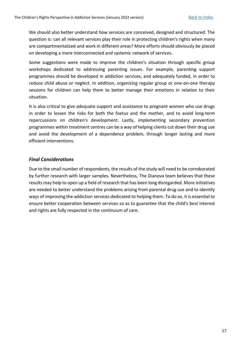We should also better understand how services are conceived, designed and structured. The question is: can all relevant services play their role in protecting children's rights when many are compartmentalized and work in different areas? More efforts should obviously be placed on developing a more interconnected and systemic network of services.

Some suggestions were made to improve the children's situation through specific group workshops dedicated to addressing parenting issues. For example, parenting support programmes should be developed in addiction services, and adequately funded, in order to reduce child abuse or neglect. In addition, organizing regular group or one-on-one therapy sessions for children can help them to better manage their emotions in relation to their situation.

It is also critical to give adequate support and assistance to pregnant women who use drugs in order to lessen the risks for both the foetus and the mother, and to avoid long-term repercussions on children's development. Lastly, implementing secondary prevention programmes within treatment centres can be a way of helping clients cut down their drug use and avoid the development of a dependence problem, through longer lasting and more efficient interventions.

## *Final Considerations*

Due to the small number of respondents, the results of the study will need to be corroborated by further research with larger samples. Nevertheless, The Dianova team believes that these results may help to open up a field of research that has been long disregarded. More initiatives are needed to better understand the problems arising from parental drug use and to identify ways of improving the addiction services dedicated to helping them. To do so, it is essential to ensure better cooperation between services so as to guarantee that the child's best interest and rights are fully respected in the continuum of care.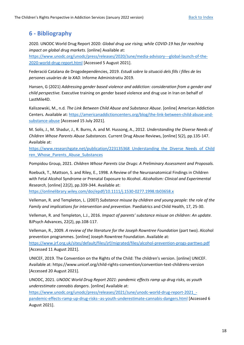## <span id="page-17-0"></span>**6 - Bibliography**

2020. UNODC World Drug Report 2020: *Global drug use rising; while COVID-19 has far reaching impact on global drug markets.* [online] Available at:

[https://www.unodc.org/unodc/press/releases/2020/June/media-advisory---global-launch-of-the-](https://www.unodc.org/unodc/press/releases/2020/June/media-advisory---global-launch-of-the-2020-world-drug-report.html)[2020-world-drug-report.html](https://www.unodc.org/unodc/press/releases/2020/June/media-advisory---global-launch-of-the-2020-world-drug-report.html) [Accessed 5 August 2021].

Federació Catalana de Drogodependències, 2019. *Estudi sobre la situació dels fills i filles de les persones usuàries de la XAD*. Informe Administratiu 2019.

Hansen, G (2021) *Addressing gender based violence and addiction: consideration from a gender and child perspective.* Executive training on gender based violence and drug use in Iran on behalf of LastMile4D.

Kaliszewski, M., n.d*. The Link Between Child Abuse and Substance Abuse*. [online] American Addiction Centers. Available at: [https://americanaddictioncenters.org/blog/the-link-between-child-abuse-and](https://americanaddictioncenters.org/blog/the-link-between-child-abuse-and-substance-abuse)[substance-abuse](https://americanaddictioncenters.org/blog/the-link-between-child-abuse-and-substance-abuse) [Accessed 15 July 2021].

M. Solis, J., M. Shadur, J., R. Burns, A. and M. Hussong, A., 2012. *Understanding the Diverse Needs of Children Whose Parents Abuse Substances*. Current Drug Abuse Reviews, [online] 5(2), pp.135-147. Available at:

[https://www.researchgate.net/publication/223135368\\_Understanding\\_the\\_Diverse\\_Needs\\_of\\_Child](https://www.researchgate.net/publication/223135368_Understanding_the_Diverse_Needs_of_Children_Whose_Parents_Abuse_Substances) [ren\\_Whose\\_Parents\\_Abuse\\_Substances](https://www.researchgate.net/publication/223135368_Understanding_the_Diverse_Needs_of_Children_Whose_Parents_Abuse_Substances)

Pompidou Group, 2021. *Children Whose Parents Use Drugs: A Preliminary Assessment and Proposals.*

Roebuck, T., Mattson, S. and Riley, E., 1998. A Review of the Neuroanatomical Findings in Children with Fetal Alcohol Syndrome or Prenatal Exposure to Alcohol. *Alcoholism: Clinical and Experimental Research*, [online] 22(2), pp.339-344. Available at:

<https://onlinelibrary.wiley.com/doi/epdf/10.1111/j.1530-0277.1998.tb03658.x>

Velleman, R. and Templeton, L. (2007) *Substance misuse by children and young people: the role of the Family and implications for intervention and prevention*. Paediatrics and Child Health, 17, 25-30.

Velleman, R. and Templeton, L.J., 2016. *Impact of parents' substance misuse on children: An update.* BJPsych Advances, 22(2), pp.108-117.

Velleman, R., 2009. *A review of the literature for the Joseph Rowntree Foundation* (part two). Alcohol prevention programmes. [online] Joseph Rowntree Foundation. Available at:

<https://www.jrf.org.uk/sites/default/files/jrf/migrated/files/alcohol-prevention-progs-parttwo.pdf> [Accessed 11 August 2021].

UNICEF, 2019. The Convention on the Rights of the Child: The children's version. [online] UNICEF. Available at: https://www.unicef.org/child-rights-convention/convention-text-childrens-version [Accessed 20 August 2021].

UNODC, 2021. *UNODC World Drug Report 2021: pandemic effects ramp up drug risks, as youth underestimate cannabis dangers*. [online] Available at:

[https://www.unodc.org/unodc/press/releases/2021/June/unodc-world-drug-report-2021\\_](https://www.unodc.org/unodc/press/releases/2021/June/unodc-world-drug-report-2021_-pandemic-effects-ramp-up-drug-risks--as-youth-underestimate-cannabis-dangers.html) [pandemic-effects-ramp-up-drug-risks--as-youth-underestimate-cannabis-dangers.html](https://www.unodc.org/unodc/press/releases/2021/June/unodc-world-drug-report-2021_-pandemic-effects-ramp-up-drug-risks--as-youth-underestimate-cannabis-dangers.html) [Accessed 6 August 2021].